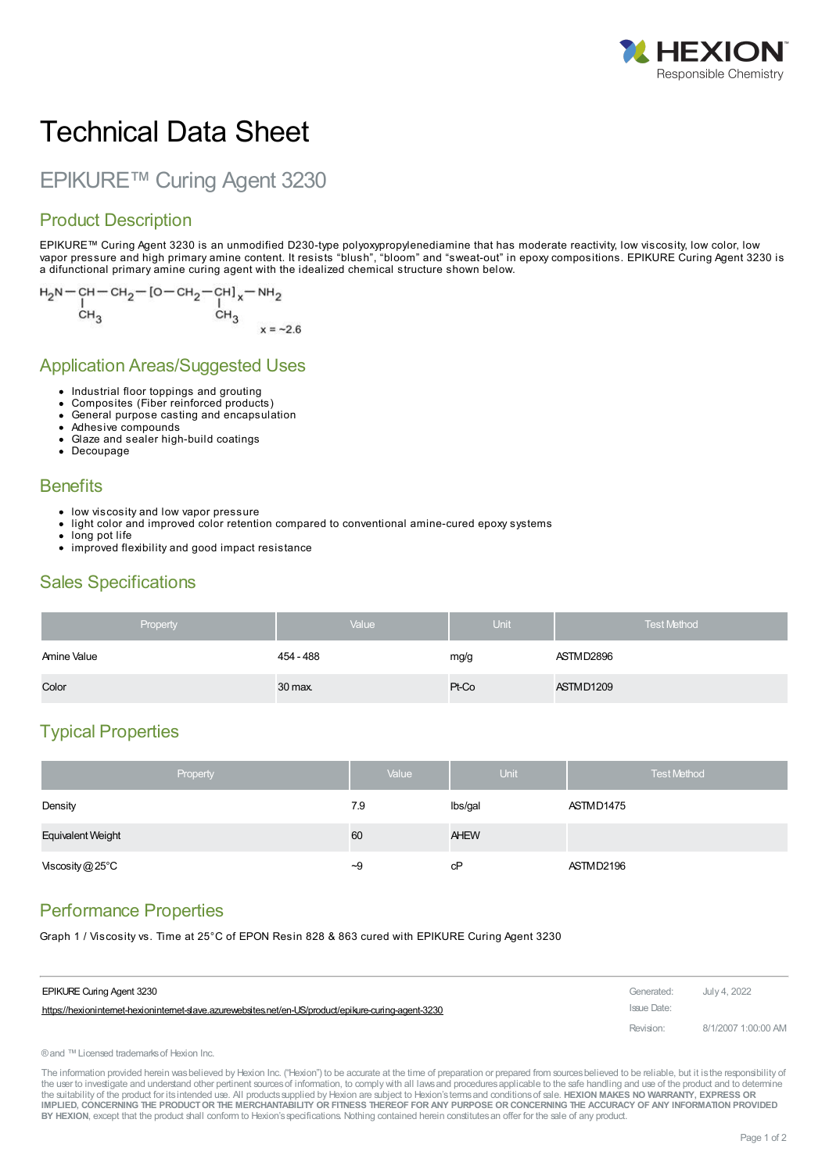

# Technical Data Sheet

# EPIKURE™ Curing Agent 3230

#### Product Description

EPIKURE™ Curing Agent 3230 is an unmodified D230-type polyoxypropylenediamine that has moderate reactivity, low viscosity, low color, low vapor pressure and high primary amine content. It resists "blush", "bloom" and "sweat-out" in epoxy compositions. EPIKURE Curing Agent 3230 is a difunctional primary amine curing agent with the idealized chemical structure shown below.

$$
H_2N = CH - CH_2 - [O - CH_2 - CH]_x - NH_2
$$
  
\nCH<sub>3</sub>CH<sub>3</sub>

#### Application Areas/Suggested Uses

- Industrial floor toppings and grouting
- Composites (Fiber reinforced products)
- General purpose casting and encapsulation
- Adhesive compounds
- Glaze and sealer high-build coatings
- Decoupage

#### **Benefits**

- low viscosity and low vapor pressure
- light color and improved color retention compared to conventional amine-cured epoxy systems
- long pot life
- improved flexibility and good impact resistance

#### Sales Specifications

| Property    | Value     | Unit  | <b>Test Method</b> |
|-------------|-----------|-------|--------------------|
| Amine Value | 454 - 488 | mg/g  | ASTMD2896          |
| Color       | 30 max.   | Pt-Co | ASTMD1209          |

#### Typical Properties

| Property                  |      | Value | <b>Unit</b> | <b>Test Method</b> |
|---------------------------|------|-------|-------------|--------------------|
| Density                   |      | 7.9   | lbs/gal     | ASTMD1475          |
| Equivalent Weight         | 60   |       | <b>AHEW</b> |                    |
| Viscosity $@25^{\circ}$ C | $-9$ |       | cP          | ASTMD2196          |

### Performance Properties

Graph 1 / Viscosity vs. Time at 25°C of EPON Resin 828 & 863 cured with EPIKURE Curing Agent 3230

| <b>EPIKURE Curing Agent 3230</b>                                                                      | Generated:  | July 4, 2022        |
|-------------------------------------------------------------------------------------------------------|-------------|---------------------|
| https://hexioninternet-hexioninternet-slave.azurewebsites.net/en-US/product/epikure-curing-agent-3230 | Issue Date: |                     |
|                                                                                                       | Revision:   | 8/1/2007 1:00:00 AM |

®and ™Licensed trademarksof Hexion Inc.

The information provided herein was believed by Hexion Inc. ("Hexion") to be accurate at the time of preparation or prepared from sources believed to be reliable, but it is the responsibility of the user to investigate and understand other pertinent sources of information, to comply with all laws and procedures applicable to the safe handling and use of the product and to determine the suitability of the product for itsintended use. All productssupplied by Hexion are subject to Hexion'stermsand conditionsof sale. **HEXION MAKES NO WARRANTY, EXPRESS OR** IMPLIED, CONCERNING THE PRODUCT OR THE MERCHANTABILITY OR FITNESS THEREOF FOR ANY PURPOSE OR CONCERNING THE ACCURACY OF ANY INFORMATION PROVIDED **BY HEXION**, except that the product shall conform to Hexion'sspecifications. Nothing contained herein constitutesan offer for the sale of any product.